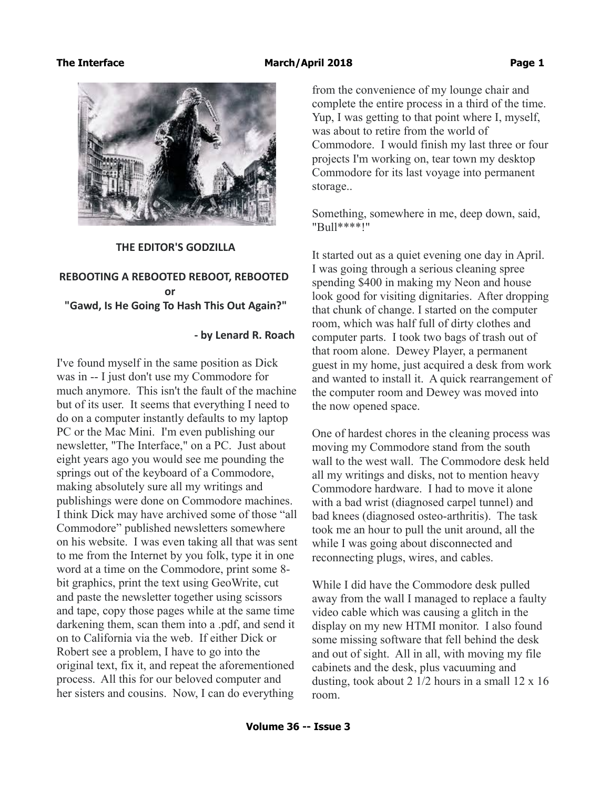

### **THE EDITOR'S GODZILLA**

# **REBOOTING A REBOOTED REBOOT, REBOOTED** *<u>or</u>*  **"Gawd, Is He Going To Hash This Out Again?"**

### **- by Lenard R. Roach**

I've found myself in the same position as Dick was in -- I just don't use my Commodore for much anymore. This isn't the fault of the machine but of its user. It seems that everything I need to do on a computer instantly defaults to my laptop PC or the Mac Mini. I'm even publishing our newsletter, "The Interface," on a PC. Just about eight years ago you would see me pounding the springs out of the keyboard of a Commodore, making absolutely sure all my writings and publishings were done on Commodore machines. I think Dick may have archived some of those "all Commodore" published newsletters somewhere on his website. I was even taking all that was sent to me from the Internet by you folk, type it in one word at a time on the Commodore, print some 8 bit graphics, print the text using GeoWrite, cut and paste the newsletter together using scissors and tape, copy those pages while at the same time darkening them, scan them into a .pdf, and send it on to California via the web. If either Dick or Robert see a problem, I have to go into the original text, fix it, and repeat the aforementioned process. All this for our beloved computer and her sisters and cousins. Now, I can do everything

from the convenience of my lounge chair and complete the entire process in a third of the time. Yup, I was getting to that point where I, myself, was about to retire from the world of Commodore. I would finish my last three or four projects I'm working on, tear town my desktop Commodore for its last voyage into permanent storage..

Something, somewhere in me, deep down, said, "Bull\*\*\*\*!"

It started out as a quiet evening one day in April. I was going through a serious cleaning spree spending \$400 in making my Neon and house look good for visiting dignitaries. After dropping that chunk of change. I started on the computer room, which was half full of dirty clothes and computer parts. I took two bags of trash out of that room alone. Dewey Player, a permanent guest in my home, just acquired a desk from work and wanted to install it. A quick rearrangement of the computer room and Dewey was moved into the now opened space.

One of hardest chores in the cleaning process was moving my Commodore stand from the south wall to the west wall. The Commodore desk held all my writings and disks, not to mention heavy Commodore hardware. I had to move it alone with a bad wrist (diagnosed carpel tunnel) and bad knees (diagnosed osteo-arthritis). The task took me an hour to pull the unit around, all the while I was going about disconnected and reconnecting plugs, wires, and cables.

While I did have the Commodore desk pulled away from the wall I managed to replace a faulty video cable which was causing a glitch in the display on my new HTMI monitor. I also found some missing software that fell behind the desk and out of sight. All in all, with moving my file cabinets and the desk, plus vacuuming and dusting, took about 2  $1/2$  hours in a small  $12 \times 16$ room.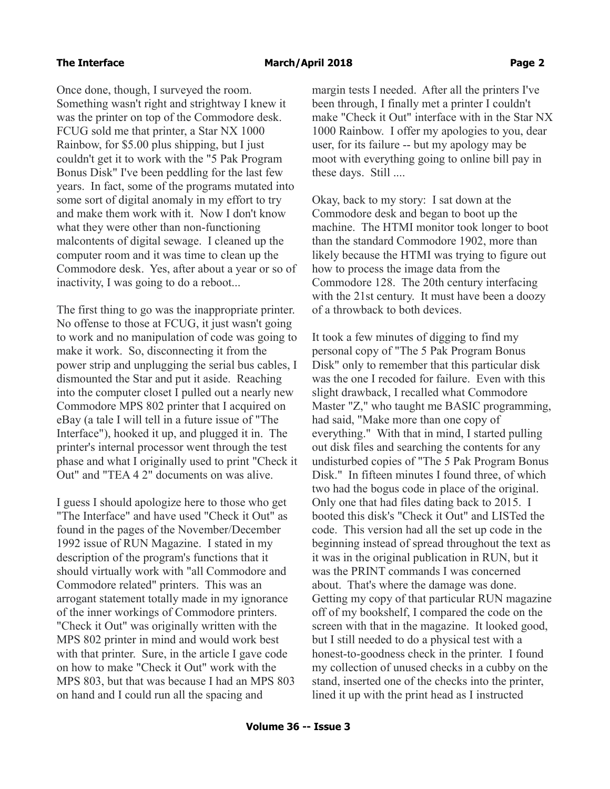Once done, though, I surveyed the room. Something wasn't right and strightway I knew it was the printer on top of the Commodore desk. FCUG sold me that printer, a Star NX 1000 Rainbow, for \$5.00 plus shipping, but I just couldn't get it to work with the "5 Pak Program Bonus Disk" I've been peddling for the last few years. In fact, some of the programs mutated into some sort of digital anomaly in my effort to try and make them work with it. Now I don't know what they were other than non-functioning malcontents of digital sewage. I cleaned up the computer room and it was time to clean up the Commodore desk. Yes, after about a year or so of inactivity, I was going to do a reboot...

The first thing to go was the inappropriate printer. No offense to those at FCUG, it just wasn't going to work and no manipulation of code was going to make it work. So, disconnecting it from the power strip and unplugging the serial bus cables, I dismounted the Star and put it aside. Reaching into the computer closet I pulled out a nearly new Commodore MPS 802 printer that I acquired on eBay (a tale I will tell in a future issue of "The Interface"), hooked it up, and plugged it in. The printer's internal processor went through the test phase and what I originally used to print "Check it Out" and "TEA 4 2" documents on was alive.

I guess I should apologize here to those who get "The Interface" and have used "Check it Out" as found in the pages of the November/December 1992 issue of RUN Magazine. I stated in my description of the program's functions that it should virtually work with "all Commodore and Commodore related" printers. This was an arrogant statement totally made in my ignorance of the inner workings of Commodore printers. "Check it Out" was originally written with the MPS 802 printer in mind and would work best with that printer. Sure, in the article I gave code on how to make "Check it Out" work with the MPS 803, but that was because I had an MPS 803 on hand and I could run all the spacing and

margin tests I needed. After all the printers I've been through, I finally met a printer I couldn't make "Check it Out" interface with in the Star NX 1000 Rainbow. I offer my apologies to you, dear user, for its failure -- but my apology may be moot with everything going to online bill pay in these days. Still ....

Okay, back to my story: I sat down at the Commodore desk and began to boot up the machine. The HTMI monitor took longer to boot than the standard Commodore 1902, more than likely because the HTMI was trying to figure out how to process the image data from the Commodore 128. The 20th century interfacing with the 21st century. It must have been a doozy of a throwback to both devices.

It took a few minutes of digging to find my personal copy of "The 5 Pak Program Bonus Disk" only to remember that this particular disk was the one I recoded for failure. Even with this slight drawback, I recalled what Commodore Master "Z," who taught me BASIC programming, had said, "Make more than one copy of everything." With that in mind, I started pulling out disk files and searching the contents for any undisturbed copies of "The 5 Pak Program Bonus Disk." In fifteen minutes I found three, of which two had the bogus code in place of the original. Only one that had files dating back to 2015. I booted this disk's "Check it Out" and LISTed the code. This version had all the set up code in the beginning instead of spread throughout the text as it was in the original publication in RUN, but it was the PRINT commands I was concerned about. That's where the damage was done. Getting my copy of that particular RUN magazine off of my bookshelf, I compared the code on the screen with that in the magazine. It looked good, but I still needed to do a physical test with a honest-to-goodness check in the printer. I found my collection of unused checks in a cubby on the stand, inserted one of the checks into the printer, lined it up with the print head as I instructed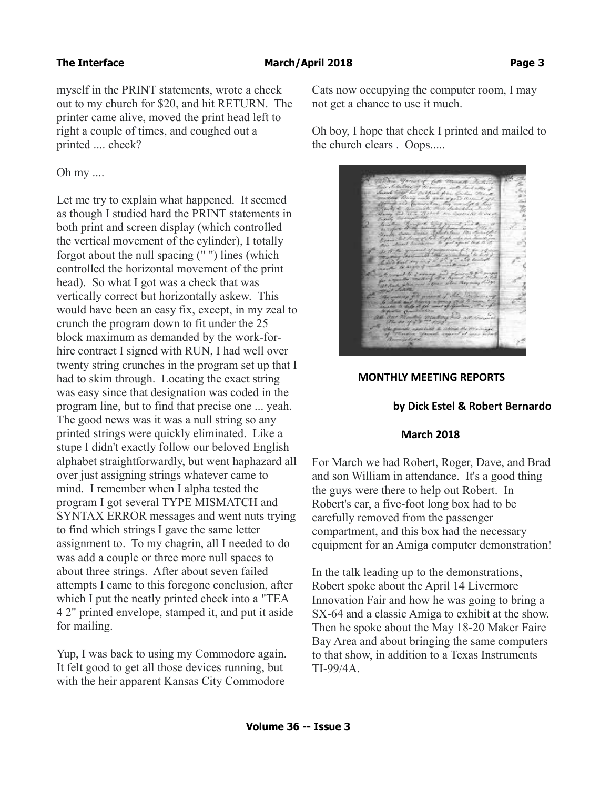myself in the PRINT statements, wrote a check out to my church for \$20, and hit RETURN. The printer came alive, moved the print head left to right a couple of times, and coughed out a printed .... check?

### Oh my ....

Let me try to explain what happened. It seemed as though I studied hard the PRINT statements in both print and screen display (which controlled the vertical movement of the cylinder), I totally forgot about the null spacing (" ") lines (which controlled the horizontal movement of the print head). So what I got was a check that was vertically correct but horizontally askew. This would have been an easy fix, except, in my zeal to crunch the program down to fit under the 25 block maximum as demanded by the work-forhire contract I signed with RUN, I had well over twenty string crunches in the program set up that I had to skim through. Locating the exact string was easy since that designation was coded in the program line, but to find that precise one ... yeah. The good news was it was a null string so any printed strings were quickly eliminated. Like a stupe I didn't exactly follow our beloved English alphabet straightforwardly, but went haphazard all over just assigning strings whatever came to mind. I remember when I alpha tested the program I got several TYPE MISMATCH and SYNTAX ERROR messages and went nuts trying to find which strings I gave the same letter assignment to. To my chagrin, all I needed to do was add a couple or three more null spaces to about three strings. After about seven failed attempts I came to this foregone conclusion, after which I put the neatly printed check into a "TEA 4 2" printed envelope, stamped it, and put it aside for mailing.

Yup, I was back to using my Commodore again. It felt good to get all those devices running, but with the heir apparent Kansas City Commodore

Cats now occupying the computer room, I may not get a chance to use it much.

Oh boy, I hope that check I printed and mailed to the church clears . Oops.....

### **MONTHLY MEETING REPORTS**

### **by Dick Estel & Robert Bernardo**

### **March 2018**

For March we had Robert, Roger, Dave, and Brad and son William in attendance. It's a good thing the guys were there to help out Robert. In Robert's car, a five-foot long box had to be carefully removed from the passenger compartment, and this box had the necessary equipment for an Amiga computer demonstration!

In the talk leading up to the demonstrations, Robert spoke about the April 14 Livermore Innovation Fair and how he was going to bring a SX-64 and a classic Amiga to exhibit at the show. Then he spoke about the May 18-20 Maker Faire Bay Area and about bringing the same computers to that show, in addition to a Texas Instruments TI-99/4A.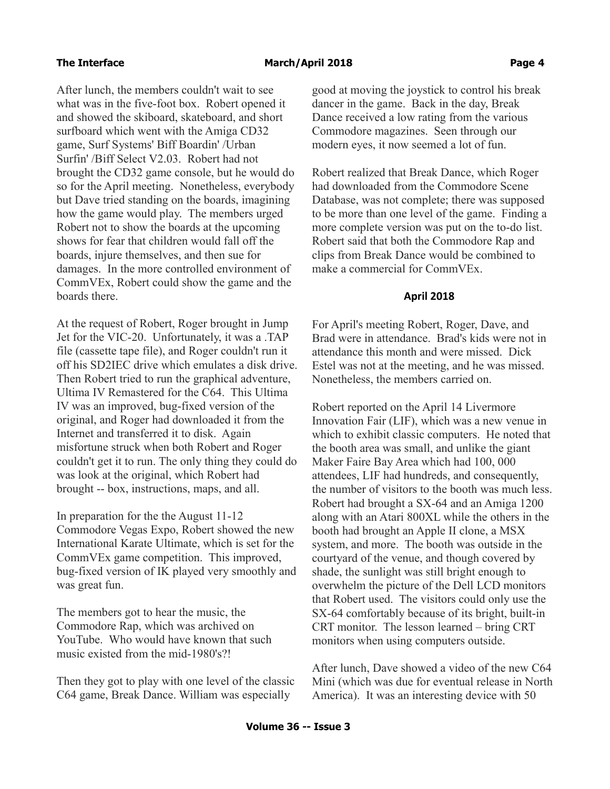After lunch, the members couldn't wait to see what was in the five-foot box. Robert opened it and showed the skiboard, skateboard, and short surfboard which went with the Amiga CD32 game, Surf Systems' Biff Boardin' /Urban Surfin' /Biff Select V2.03. Robert had not brought the CD32 game console, but he would do so for the April meeting. Nonetheless, everybody but Dave tried standing on the boards, imagining how the game would play. The members urged Robert not to show the boards at the upcoming shows for fear that children would fall off the boards, injure themselves, and then sue for damages. In the more controlled environment of CommVEx, Robert could show the game and the boards there.

At the request of Robert, Roger brought in Jump Jet for the VIC-20. Unfortunately, it was a .TAP file (cassette tape file), and Roger couldn't run it off his SD2IEC drive which emulates a disk drive. Then Robert tried to run the graphical adventure, Ultima IV Remastered for the C64. This Ultima IV was an improved, bug-fixed version of the original, and Roger had downloaded it from the Internet and transferred it to disk. Again misfortune struck when both Robert and Roger couldn't get it to run. The only thing they could do was look at the original, which Robert had brought -- box, instructions, maps, and all.

In preparation for the the August 11-12 Commodore Vegas Expo, Robert showed the new International Karate Ultimate, which is set for the CommVEx game competition. This improved, bug-fixed version of IK played very smoothly and was great fun.

The members got to hear the music, the Commodore Rap, which was archived on YouTube. Who would have known that such music existed from the mid-1980's?!

Then they got to play with one level of the classic C64 game, Break Dance. William was especially

good at moving the joystick to control his break dancer in the game. Back in the day, Break Dance received a low rating from the various Commodore magazines. Seen through our modern eyes, it now seemed a lot of fun.

Robert realized that Break Dance, which Roger had downloaded from the Commodore Scene Database, was not complete; there was supposed to be more than one level of the game. Finding a more complete version was put on the to-do list. Robert said that both the Commodore Rap and clips from Break Dance would be combined to make a commercial for CommVEx.

### **April 2018**

For April's meeting Robert, Roger, Dave, and Brad were in attendance. Brad's kids were not in attendance this month and were missed. Dick Estel was not at the meeting, and he was missed. Nonetheless, the members carried on.

Robert reported on the April 14 Livermore Innovation Fair (LIF), which was a new venue in which to exhibit classic computers. He noted that the booth area was small, and unlike the giant Maker Faire Bay Area which had 100, 000 attendees, LIF had hundreds, and consequently, the number of visitors to the booth was much less. Robert had brought a SX-64 and an Amiga 1200 along with an Atari 800XL while the others in the booth had brought an Apple II clone, a MSX system, and more. The booth was outside in the courtyard of the venue, and though covered by shade, the sunlight was still bright enough to overwhelm the picture of the Dell LCD monitors that Robert used. The visitors could only use the SX-64 comfortably because of its bright, built-in CRT monitor. The lesson learned – bring CRT monitors when using computers outside.

After lunch, Dave showed a video of the new C64 Mini (which was due for eventual release in North America). It was an interesting device with 50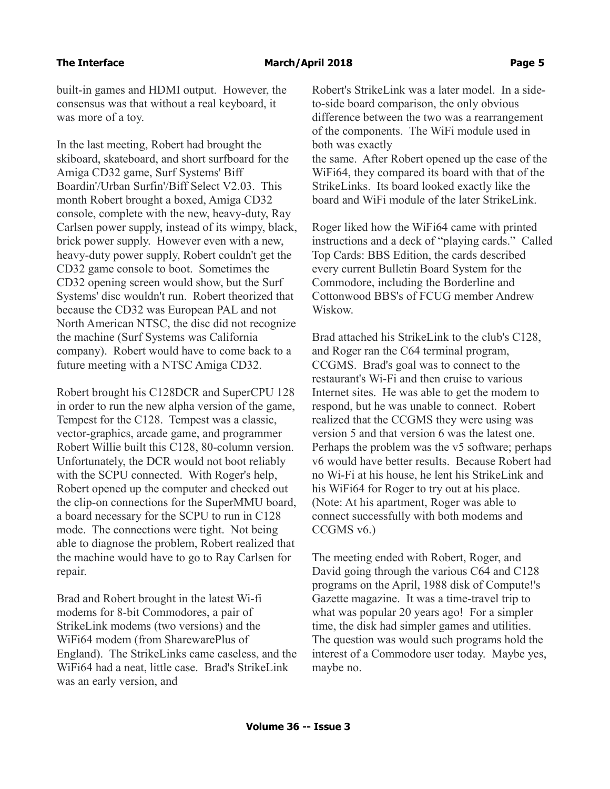built-in games and HDMI output. However, the consensus was that without a real keyboard, it was more of a toy.

In the last meeting, Robert had brought the skiboard, skateboard, and short surfboard for the Amiga CD32 game, Surf Systems' Biff Boardin'/Urban Surfin'/Biff Select V2.03. This month Robert brought a boxed, Amiga CD32 console, complete with the new, heavy-duty, Ray Carlsen power supply, instead of its wimpy, black, brick power supply. However even with a new, heavy-duty power supply, Robert couldn't get the CD32 game console to boot. Sometimes the CD32 opening screen would show, but the Surf Systems' disc wouldn't run. Robert theorized that because the CD32 was European PAL and not North American NTSC, the disc did not recognize the machine (Surf Systems was California company). Robert would have to come back to a future meeting with a NTSC Amiga CD32.

Robert brought his C128DCR and SuperCPU 128 in order to run the new alpha version of the game, Tempest for the C128. Tempest was a classic, vector-graphics, arcade game, and programmer Robert Willie built this C128, 80-column version. Unfortunately, the DCR would not boot reliably with the SCPU connected. With Roger's help, Robert opened up the computer and checked out the clip-on connections for the SuperMMU board, a board necessary for the SCPU to run in C128 mode. The connections were tight. Not being able to diagnose the problem, Robert realized that the machine would have to go to Ray Carlsen for repair.

Brad and Robert brought in the latest Wi-fi modems for 8-bit Commodores, a pair of StrikeLink modems (two versions) and the WiFi64 modem (from SharewarePlus of England). The StrikeLinks came caseless, and the WiFi64 had a neat, little case. Brad's StrikeLink was an early version, and

Robert's StrikeLink was a later model. In a sideto-side board comparison, the only obvious difference between the two was a rearrangement of the components. The WiFi module used in both was exactly

the same. After Robert opened up the case of the WiFi64, they compared its board with that of the StrikeLinks. Its board looked exactly like the board and WiFi module of the later StrikeLink.

Roger liked how the WiFi64 came with printed instructions and a deck of "playing cards." Called Top Cards: BBS Edition, the cards described every current Bulletin Board System for the Commodore, including the Borderline and Cottonwood BBS's of FCUG member Andrew Wiskow.

Brad attached his StrikeLink to the club's C128, and Roger ran the C64 terminal program, CCGMS. Brad's goal was to connect to the restaurant's Wi-Fi and then cruise to various Internet sites. He was able to get the modem to respond, but he was unable to connect. Robert realized that the CCGMS they were using was version 5 and that version 6 was the latest one. Perhaps the problem was the v5 software; perhaps v6 would have better results. Because Robert had no Wi-Fi at his house, he lent his StrikeLink and his WiFi64 for Roger to try out at his place. (Note: At his apartment, Roger was able to connect successfully with both modems and CCGMS v6.)

The meeting ended with Robert, Roger, and David going through the various C64 and C128 programs on the April, 1988 disk of Compute!'s Gazette magazine. It was a time-travel trip to what was popular 20 years ago! For a simpler time, the disk had simpler games and utilities. The question was would such programs hold the interest of a Commodore user today. Maybe yes, maybe no.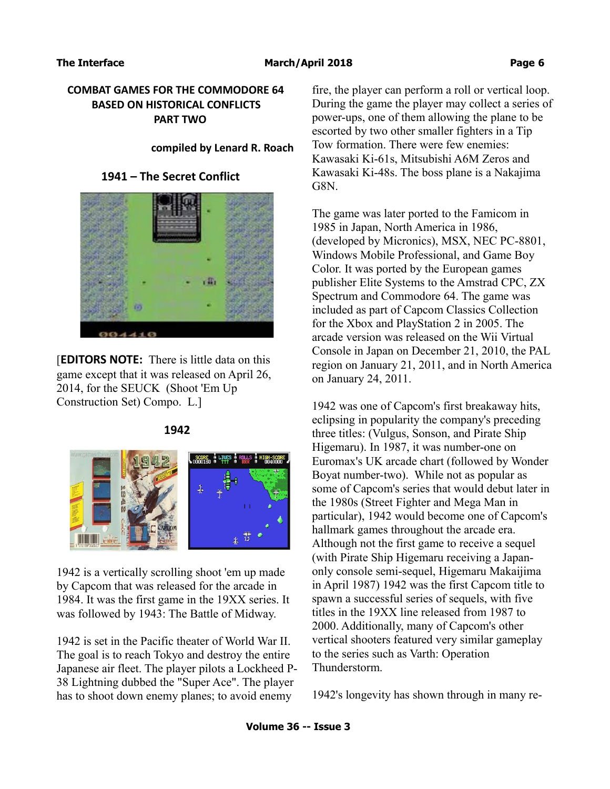## **COMBAT GAMES FOR THE COMMODORE 64 BASED ON HISTORICAL CONFLICTS PART TWO**

### **compiled by Lenard R. Roach**

## **1941 – The Secret Conflict**



[**EDITORS NOTE:** There is little data on this game except that it was released on April 26, 2014, for the SEUCK (Shoot 'Em Up Construction Set) Compo. L.]



### **1942**

1942 is a vertically scrolling shoot 'em up made by Capcom that was released for the arcade in 1984. It was the first game in the 19XX series. It was followed by 1943: The Battle of Midway.

1942 is set in the Pacific theater of World War II. The goal is to reach Tokyo and destroy the entire Japanese air fleet. The player pilots a Lockheed P-38 Lightning dubbed the "Super Ace". The player has to shoot down enemy planes; to avoid enemy

fire, the player can perform a roll or vertical loop. During the game the player may collect a series of power-ups, one of them allowing the plane to be escorted by two other smaller fighters in a Tip Tow formation. There were few enemies: Kawasaki Ki-61s, Mitsubishi A6M Zeros and Kawasaki Ki-48s. The boss plane is a Nakajima G8N.

The game was later ported to the Famicom in 1985 in Japan, North America in 1986, (developed by Micronics), MSX, NEC PC-8801, Windows Mobile Professional, and Game Boy Color. It was ported by the European games publisher Elite Systems to the Amstrad CPC, ZX Spectrum and Commodore 64. The game was included as part of Capcom Classics Collection for the Xbox and PlayStation 2 in 2005. The arcade version was released on the Wii Virtual Console in Japan on December 21, 2010, the PAL region on January 21, 2011, and in North America on January 24, 2011.

1942 was one of Capcom's first breakaway hits, eclipsing in popularity the company's preceding three titles: (Vulgus, Sonson, and Pirate Ship Higemaru). In 1987, it was number-one on Euromax's UK arcade chart (followed by Wonder Boyat number-two). While not as popular as some of Capcom's series that would debut later in the 1980s (Street Fighter and Mega Man in particular), 1942 would become one of Capcom's hallmark games throughout the arcade era. Although not the first game to receive a sequel (with Pirate Ship Higemaru receiving a Japanonly console semi-sequel, Higemaru Makaijima in April 1987) 1942 was the first Capcom title to spawn a successful series of sequels, with five titles in the 19XX line released from 1987 to 2000. Additionally, many of Capcom's other vertical shooters featured very similar gameplay to the series such as Varth: Operation Thunderstorm.

1942's longevity has shown through in many re-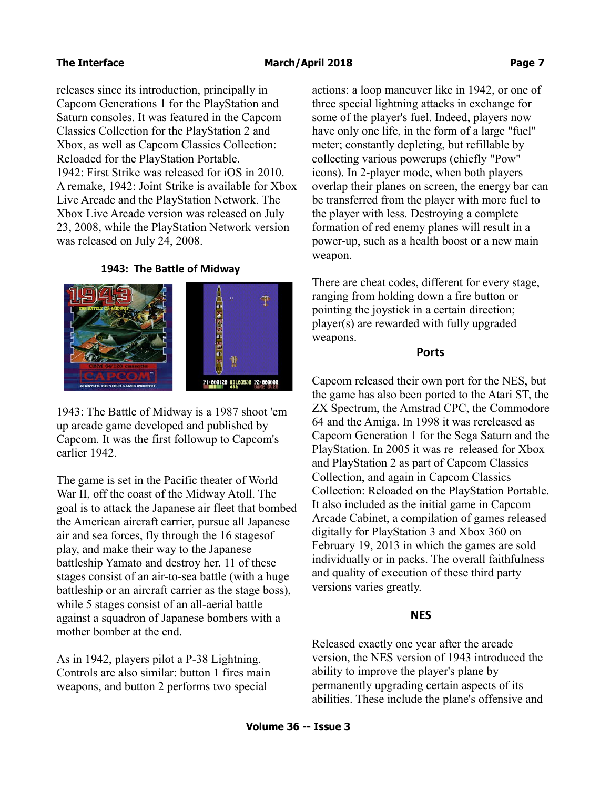releases since its introduction, principally in Capcom Generations 1 for the PlayStation and Saturn consoles. It was featured in the Capcom Classics Collection for the PlayStation 2 and Xbox, as well as Capcom Classics Collection: Reloaded for the PlayStation Portable. 1942: First Strike was released for iOS in 2010. A remake, 1942: Joint Strike is available for Xbox Live Arcade and the PlayStation Network. The Xbox Live Arcade version was released on July 23, 2008, while the PlayStation Network version was released on July 24, 2008.

### **1943: The Battle of Midway**



1943: The Battle of Midway is a 1987 shoot 'em up arcade game developed and published by Capcom. It was the first followup to Capcom's earlier 1942.

The game is set in the Pacific theater of World War II, off the coast of the Midway Atoll. The goal is to attack the Japanese air fleet that bombed the American aircraft carrier, pursue all Japanese air and sea forces, fly through the 16 stagesof play, and make their way to the Japanese battleship Yamato and destroy her. 11 of these stages consist of an air-to-sea battle (with a huge battleship or an aircraft carrier as the stage boss), while 5 stages consist of an all-aerial battle against a squadron of Japanese bombers with a mother bomber at the end.

As in 1942, players pilot a P-38 Lightning. Controls are also similar: button 1 fires main weapons, and button 2 performs two special

actions: a loop maneuver like in 1942, or one of three special lightning attacks in exchange for some of the player's fuel. Indeed, players now have only one life, in the form of a large "fuel" meter; constantly depleting, but refillable by collecting various powerups (chiefly "Pow" icons). In 2-player mode, when both players overlap their planes on screen, the energy bar can be transferred from the player with more fuel to the player with less. Destroying a complete formation of red enemy planes will result in a power-up, such as a health boost or a new main weapon.

There are cheat codes, different for every stage, ranging from holding down a fire button or pointing the joystick in a certain direction; player(s) are rewarded with fully upgraded weapons.

### **Ports**

Capcom released their own port for the NES, but the game has also been ported to the Atari ST, the ZX Spectrum, the Amstrad CPC, the Commodore 64 and the Amiga. In 1998 it was rereleased as Capcom Generation 1 for the Sega Saturn and the PlayStation. In 2005 it was re–released for Xbox and PlayStation 2 as part of Capcom Classics Collection, and again in Capcom Classics Collection: Reloaded on the PlayStation Portable. It also included as the initial game in Capcom Arcade Cabinet, a compilation of games released digitally for PlayStation 3 and Xbox 360 on February 19, 2013 in which the games are sold individually or in packs. The overall faithfulness and quality of execution of these third party versions varies greatly.

# **NES**

Released exactly one year after the arcade version, the NES version of 1943 introduced the ability to improve the player's plane by permanently upgrading certain aspects of its abilities. These include the plane's offensive and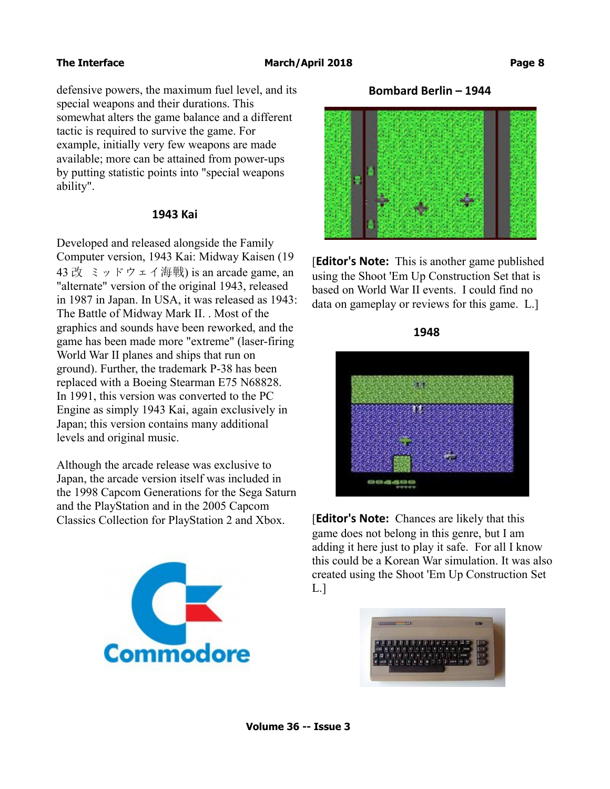defensive powers, the maximum fuel level, and its special weapons and their durations. This somewhat alters the game balance and a different tactic is required to survive the game. For example, initially very few weapons are made available; more can be attained from power-ups by putting statistic points into "special weapons ability".

### **1943 Kai**

Developed and released alongside the Family Computer version, 1943 Kai: Midway Kaisen (19 43 改 ミッドウェイ海戦) is an arcade game, an "alternate" version of the original 1943, released in 1987 in Japan. In USA, it was released as 1943: The Battle of Midway Mark II. . Most of the graphics and sounds have been reworked, and the game has been made more "extreme" (laser-firing World War II planes and ships that run on ground). Further, the trademark P-38 has been replaced with a Boeing Stearman E75 N68828. In 1991, this version was converted to the PC Engine as simply 1943 Kai, again exclusively in Japan; this version contains many additional levels and original music.

Although the arcade release was exclusive to Japan, the arcade version itself was included in the 1998 Capcom Generations for the Sega Saturn and the PlayStation and in the 2005 Capcom Classics Collection for PlayStation 2 and Xbox.



**Bombard Berlin – 1944**



**[Editor's Note:** This is another game published using the Shoot 'Em Up Construction Set that is based on World War II events. I could find no data on gameplay or reviews for this game. L.]



[**Editor's Note:** Chances are likely that this game does not belong in this genre, but I am adding it here just to play it safe. For all I know this could be a Korean War simulation. It was also created using the Shoot 'Em Up Construction Set L.]

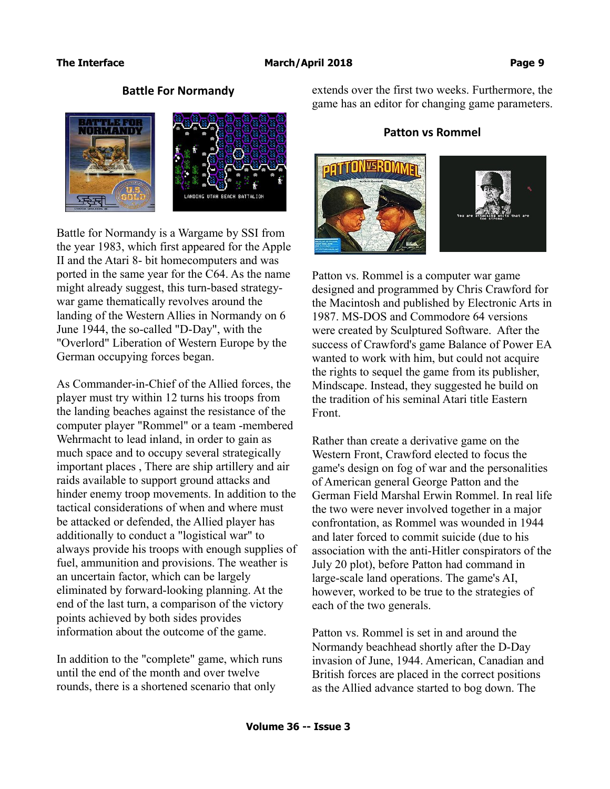# **Battle For Normandy**



Battle for Normandy is a Wargame by SSI from the year 1983, which first appeared for the Apple II and the Atari 8- bit homecomputers and was ported in the same year for the C64. As the name might already suggest, this turn-based strategywar game thematically revolves around the landing of the Western Allies in Normandy on 6 June 1944, the so-called "D-Day", with the "Overlord" Liberation of Western Europe by the German occupying forces began.

As Commander-in-Chief of the Allied forces, the player must try within 12 turns his troops from the landing beaches against the resistance of the computer player "Rommel" or a team -membered Wehrmacht to lead inland, in order to gain as much space and to occupy several strategically important places , There are ship artillery and air raids available to support ground attacks and hinder enemy troop movements. In addition to the tactical considerations of when and where must be attacked or defended, the Allied player has additionally to conduct a "logistical war" to always provide his troops with enough supplies of fuel, ammunition and provisions. The weather is an uncertain factor, which can be largely eliminated by forward-looking planning. At the end of the last turn, a comparison of the victory points achieved by both sides provides information about the outcome of the game.

In addition to the "complete" game, which runs until the end of the month and over twelve rounds, there is a shortened scenario that only

extends over the first two weeks. Furthermore, the game has an editor for changing game parameters.

# **Patton vs Rommel**





Patton vs. Rommel is a computer war game designed and programmed by Chris Crawford for the Macintosh and published by Electronic Arts in 1987. MS-DOS and Commodore 64 versions were created by Sculptured Software. After the success of Crawford's game Balance of Power EA wanted to work with him, but could not acquire the rights to sequel the game from its publisher, Mindscape. Instead, they suggested he build on the tradition of his seminal Atari title Eastern Front.

Rather than create a derivative game on the Western Front, Crawford elected to focus the game's design on fog of war and the personalities of American general George Patton and the German Field Marshal Erwin Rommel. In real life the two were never involved together in a major confrontation, as Rommel was wounded in 1944 and later forced to commit suicide (due to his association with the anti-Hitler conspirators of the July 20 plot), before Patton had command in large-scale land operations. The game's AI, however, worked to be true to the strategies of each of the two generals.

Patton vs. Rommel is set in and around the Normandy beachhead shortly after the D-Day invasion of June, 1944. American, Canadian and British forces are placed in the correct positions as the Allied advance started to bog down. The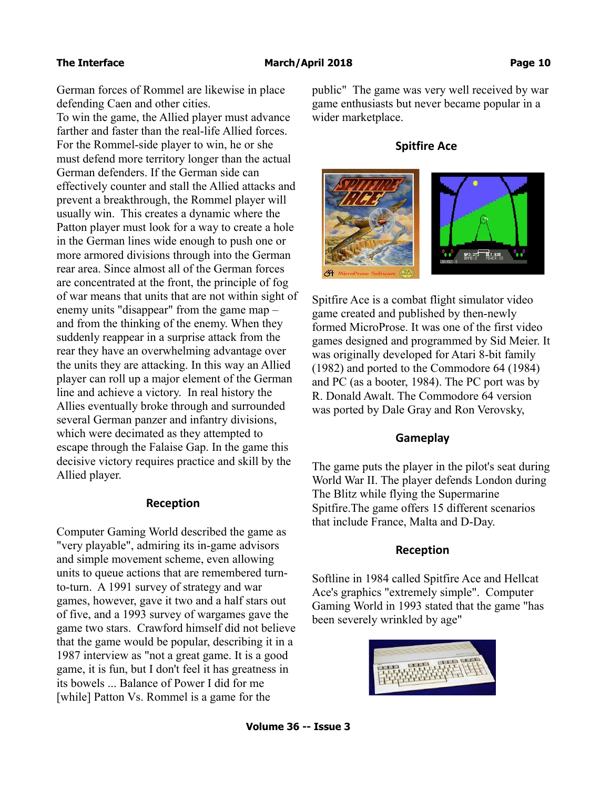German forces of Rommel are likewise in place defending Caen and other cities.

To win the game, the Allied player must advance farther and faster than the real-life Allied forces. For the Rommel-side player to win, he or she must defend more territory longer than the actual German defenders. If the German side can effectively counter and stall the Allied attacks and prevent a breakthrough, the Rommel player will usually win. This creates a dynamic where the Patton player must look for a way to create a hole in the German lines wide enough to push one or more armored divisions through into the German rear area. Since almost all of the German forces are concentrated at the front, the principle of fog of war means that units that are not within sight of enemy units "disappear" from the game map – and from the thinking of the enemy. When they suddenly reappear in a surprise attack from the rear they have an overwhelming advantage over the units they are attacking. In this way an Allied player can roll up a major element of the German line and achieve a victory. In real history the Allies eventually broke through and surrounded several German panzer and infantry divisions, which were decimated as they attempted to escape through the Falaise Gap. In the game this decisive victory requires practice and skill by the Allied player.

### **Reception**

Computer Gaming World described the game as "very playable", admiring its in-game advisors and simple movement scheme, even allowing units to queue actions that are remembered turnto-turn. A 1991 survey of strategy and war games, however, gave it two and a half stars out of five, and a 1993 survey of wargames gave the game two stars. Crawford himself did not believe that the game would be popular, describing it in a 1987 interview as "not a great game. It is a good game, it is fun, but I don't feel it has greatness in its bowels ... Balance of Power I did for me [while] Patton Vs. Rommel is a game for the

public" The game was very well received by war game enthusiasts but never became popular in a wider marketplace.

# **Spitfire Ace**



Spitfire Ace is a combat flight simulator video game created and published by then-newly formed MicroProse. It was one of the first video games designed and programmed by Sid Meier. It was originally developed for Atari 8-bit family (1982) and ported to the Commodore 64 (1984) and PC (as a booter, 1984). The PC port was by R. Donald Awalt. The Commodore 64 version was ported by Dale Gray and Ron Verovsky,

### **Gameplay**

The game puts the player in the pilot's seat during World War II. The player defends London during The Blitz while flying the Supermarine Spitfire.The game offers 15 different scenarios that include France, Malta and D-Day.

### **Reception**

Softline in 1984 called Spitfire Ace and Hellcat Ace's graphics "extremely simple". Computer Gaming World in 1993 stated that the game "has been severely wrinkled by age"

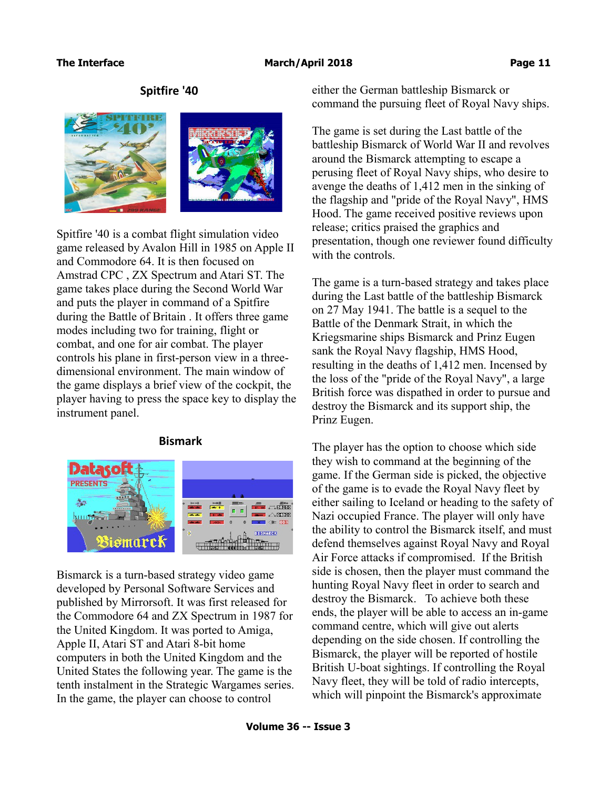# **Spitfire '40**



Spitfire '40 is a combat flight simulation video game released by Avalon Hill in 1985 on Apple II and Commodore 64. It is then focused on Amstrad CPC , ZX Spectrum and Atari ST. The game takes place during the Second World War and puts the player in command of a Spitfire during the Battle of Britain . It offers three game modes including two for training, flight or combat, and one for air combat. The player controls his plane in first-person view in a threedimensional environment. The main window of the game displays a brief view of the cockpit, the player having to press the space key to display the instrument panel.

# **Bismark**



Bismarck is a turn-based strategy video game developed by Personal Software Services and published by Mirrorsoft. It was first released for the Commodore 64 and ZX Spectrum in 1987 for the United Kingdom. It was ported to Amiga, Apple II, Atari ST and Atari 8-bit home computers in both the United Kingdom and the United States the following year. The game is the tenth instalment in the Strategic Wargames series. In the game, the player can choose to control

either the German battleship Bismarck or command the pursuing fleet of Royal Navy ships.

The game is set during the Last battle of the battleship Bismarck of World War II and revolves around the Bismarck attempting to escape a perusing fleet of Royal Navy ships, who desire to avenge the deaths of 1,412 men in the sinking of the flagship and "pride of the Royal Navy", HMS Hood. The game received positive reviews upon release; critics praised the graphics and presentation, though one reviewer found difficulty with the controls.

The game is a turn-based strategy and takes place during the Last battle of the battleship Bismarck on 27 May 1941. The battle is a sequel to the Battle of the Denmark Strait, in which the Kriegsmarine ships Bismarck and Prinz Eugen sank the Royal Navy flagship, HMS Hood, resulting in the deaths of 1,412 men. Incensed by the loss of the "pride of the Royal Navy", a large British force was dispathed in order to pursue and destroy the Bismarck and its support ship, the Prinz Eugen.

The player has the option to choose which side they wish to command at the beginning of the game. If the German side is picked, the objective of the game is to evade the Royal Navy fleet by either sailing to Iceland or heading to the safety of Nazi occupied France. The player will only have the ability to control the Bismarck itself, and must defend themselves against Royal Navy and Royal Air Force attacks if compromised. If the British side is chosen, then the player must command the hunting Royal Navy fleet in order to search and destroy the Bismarck. To achieve both these ends, the player will be able to access an in-game command centre, which will give out alerts depending on the side chosen. If controlling the Bismarck, the player will be reported of hostile British U-boat sightings. If controlling the Royal Navy fleet, they will be told of radio intercepts, which will pinpoint the Bismarck's approximate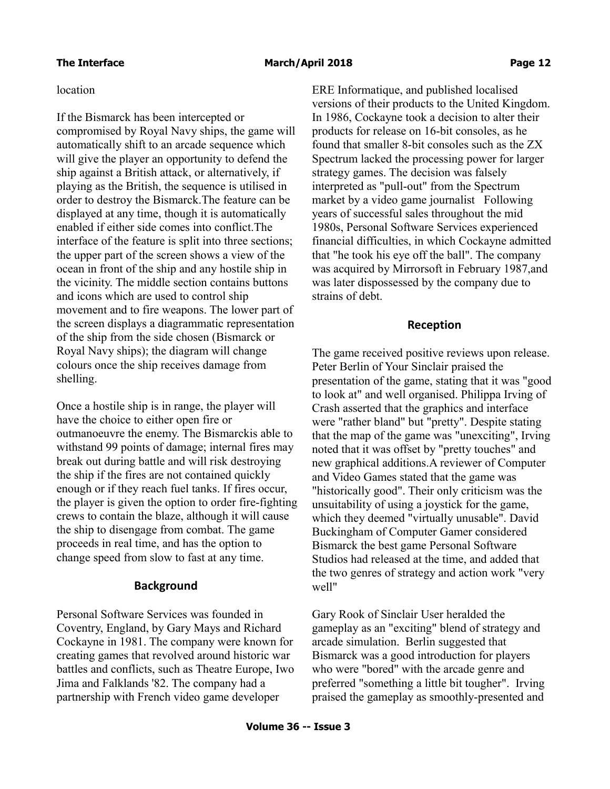### location

If the Bismarck has been intercepted or compromised by Royal Navy ships, the game will automatically shift to an arcade sequence which will give the player an opportunity to defend the ship against a British attack, or alternatively, if playing as the British, the sequence is utilised in order to destroy the Bismarck.The feature can be displayed at any time, though it is automatically enabled if either side comes into conflict.The interface of the feature is split into three sections; the upper part of the screen shows a view of the ocean in front of the ship and any hostile ship in the vicinity. The middle section contains buttons and icons which are used to control ship movement and to fire weapons. The lower part of the screen displays a diagrammatic representation of the ship from the side chosen (Bismarck or Royal Navy ships); the diagram will change colours once the ship receives damage from shelling.

Once a hostile ship is in range, the player will have the choice to either open fire or outmanoeuvre the enemy. The Bismarckis able to withstand 99 points of damage; internal fires may break out during battle and will risk destroying the ship if the fires are not contained quickly enough or if they reach fuel tanks. If fires occur, the player is given the option to order fire-fighting crews to contain the blaze, although it will cause the ship to disengage from combat. The game proceeds in real time, and has the option to change speed from slow to fast at any time.

# **Background**

Personal Software Services was founded in Coventry, England, by Gary Mays and Richard Cockayne in 1981. The company were known for creating games that revolved around historic war battles and conflicts, such as Theatre Europe, Iwo Jima and Falklands '82. The company had a partnership with French video game developer

ERE Informatique, and published localised versions of their products to the United Kingdom. In 1986, Cockayne took a decision to alter their products for release on 16-bit consoles, as he found that smaller 8-bit consoles such as the ZX Spectrum lacked the processing power for larger strategy games. The decision was falsely interpreted as "pull-out" from the Spectrum market by a video game journalist Following years of successful sales throughout the mid 1980s, Personal Software Services experienced financial difficulties, in which Cockayne admitted that "he took his eye off the ball". The company was acquired by Mirrorsoft in February 1987,and was later dispossessed by the company due to strains of debt.

## **Reception**

The game received positive reviews upon release. Peter Berlin of Your Sinclair praised the presentation of the game, stating that it was "good to look at" and well organised. Philippa Irving of Crash asserted that the graphics and interface were "rather bland" but "pretty". Despite stating that the map of the game was "unexciting", Irving noted that it was offset by "pretty touches" and new graphical additions.A reviewer of Computer and Video Games stated that the game was "historically good". Their only criticism was the unsuitability of using a joystick for the game, which they deemed "virtually unusable". David Buckingham of Computer Gamer considered Bismarck the best game Personal Software Studios had released at the time, and added that the two genres of strategy and action work "very well"

Gary Rook of Sinclair User heralded the gameplay as an "exciting" blend of strategy and arcade simulation. Berlin suggested that Bismarck was a good introduction for players who were "bored" with the arcade genre and preferred "something a little bit tougher". Irving praised the gameplay as smoothly-presented and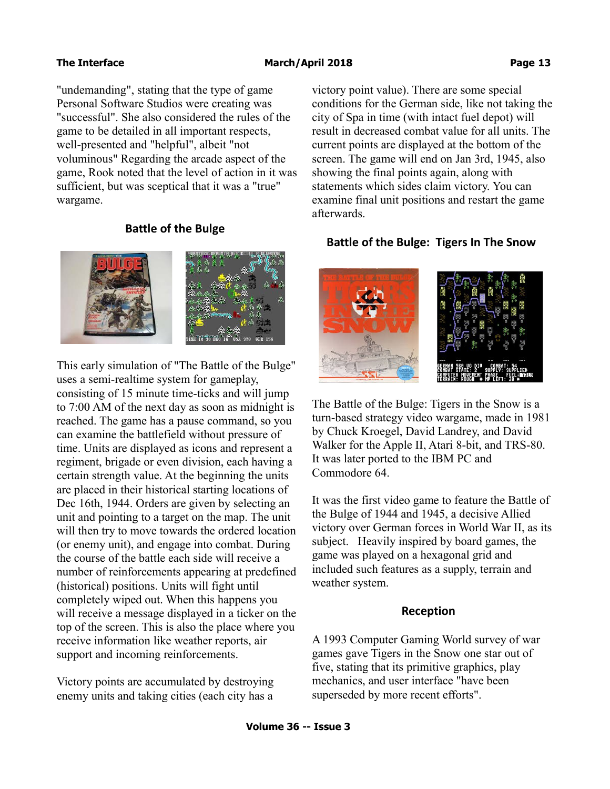"undemanding", stating that the type of game Personal Software Studios were creating was "successful". She also considered the rules of the game to be detailed in all important respects, well-presented and "helpful", albeit "not voluminous" Regarding the arcade aspect of the game, Rook noted that the level of action in it was sufficient, but was sceptical that it was a "true" wargame.

## **Battle of the Bulge**



This early simulation of "The Battle of the Bulge" uses a semi-realtime system for gameplay, consisting of 15 minute time-ticks and will jump to 7:00 AM of the next day as soon as midnight is reached. The game has a pause command, so you can examine the battlefield without pressure of time. Units are displayed as icons and represent a regiment, brigade or even division, each having a certain strength value. At the beginning the units are placed in their historical starting locations of Dec 16th, 1944. Orders are given by selecting an unit and pointing to a target on the map. The unit will then try to move towards the ordered location (or enemy unit), and engage into combat. During the course of the battle each side will receive a number of reinforcements appearing at predefined (historical) positions. Units will fight until completely wiped out. When this happens you will receive a message displayed in a ticker on the top of the screen. This is also the place where you receive information like weather reports, air support and incoming reinforcements.

Victory points are accumulated by destroying enemy units and taking cities (each city has a victory point value). There are some special conditions for the German side, like not taking the city of Spa in time (with intact fuel depot) will result in decreased combat value for all units. The current points are displayed at the bottom of the screen. The game will end on Jan 3rd, 1945, also showing the final points again, along with statements which sides claim victory. You can examine final unit positions and restart the game afterwards.

### **Battle of the Bulge: Tigers In The Snow**



The Battle of the Bulge: Tigers in the Snow is a turn-based strategy video wargame, made in 1981 by Chuck Kroegel, David Landrey, and David Walker for the Apple II, Atari 8-bit, and TRS-80. It was later ported to the IBM PC and Commodore 64.

It was the first video game to feature the Battle of the Bulge of 1944 and 1945, a decisive Allied victory over German forces in World War II, as its subject. Heavily inspired by board games, the game was played on a hexagonal grid and included such features as a supply, terrain and weather system.

### **Reception**

A 1993 Computer Gaming World survey of war games gave Tigers in the Snow one star out of five, stating that its primitive graphics, play mechanics, and user interface "have been superseded by more recent efforts".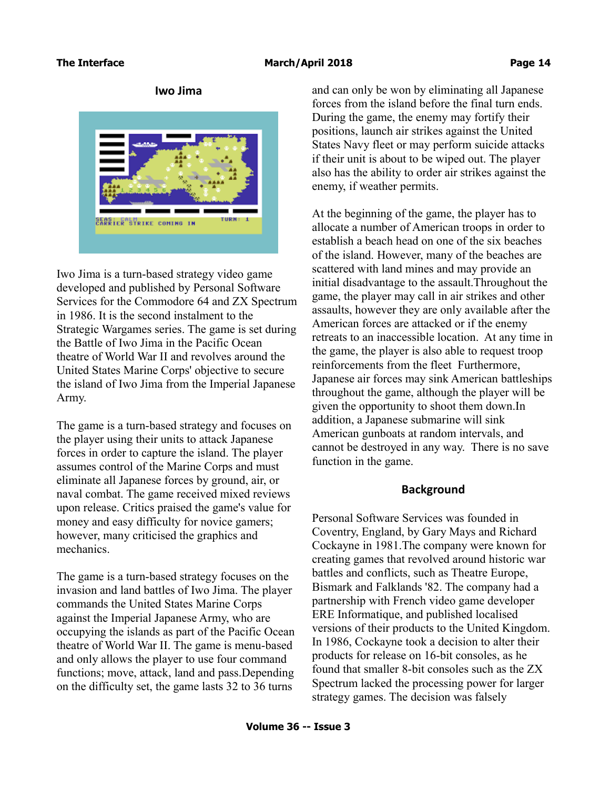# **Iwo Jima**



Iwo Jima is a turn-based strategy video game developed and published by Personal Software Services for the Commodore 64 and ZX Spectrum in 1986. It is the second instalment to the Strategic Wargames series. The game is set during the Battle of Iwo Jima in the Pacific Ocean theatre of World War II and revolves around the United States Marine Corps' objective to secure the island of Iwo Jima from the Imperial Japanese Army.

The game is a turn-based strategy and focuses on the player using their units to attack Japanese forces in order to capture the island. The player assumes control of the Marine Corps and must eliminate all Japanese forces by ground, air, or naval combat. The game received mixed reviews upon release. Critics praised the game's value for money and easy difficulty for novice gamers; however, many criticised the graphics and mechanics.

The game is a turn-based strategy focuses on the invasion and land battles of Iwo Jima. The player commands the United States Marine Corps against the Imperial Japanese Army, who are occupying the islands as part of the Pacific Ocean theatre of World War II. The game is menu-based and only allows the player to use four command functions; move, attack, land and pass.Depending on the difficulty set, the game lasts 32 to 36 turns

and can only be won by eliminating all Japanese forces from the island before the final turn ends. During the game, the enemy may fortify their positions, launch air strikes against the United States Navy fleet or may perform suicide attacks if their unit is about to be wiped out. The player also has the ability to order air strikes against the enemy, if weather permits.

At the beginning of the game, the player has to allocate a number of American troops in order to establish a beach head on one of the six beaches of the island. However, many of the beaches are scattered with land mines and may provide an initial disadvantage to the assault.Throughout the game, the player may call in air strikes and other assaults, however they are only available after the American forces are attacked or if the enemy retreats to an inaccessible location. At any time in the game, the player is also able to request troop reinforcements from the fleet Furthermore, Japanese air forces may sink American battleships throughout the game, although the player will be given the opportunity to shoot them down.In addition, a Japanese submarine will sink American gunboats at random intervals, and cannot be destroyed in any way. There is no save function in the game.

### **Background**

Personal Software Services was founded in Coventry, England, by Gary Mays and Richard Cockayne in 1981.The company were known for creating games that revolved around historic war battles and conflicts, such as Theatre Europe, Bismark and Falklands '82. The company had a partnership with French video game developer ERE Informatique, and published localised versions of their products to the United Kingdom. In 1986, Cockayne took a decision to alter their products for release on 16-bit consoles, as he found that smaller 8-bit consoles such as the ZX Spectrum lacked the processing power for larger strategy games. The decision was falsely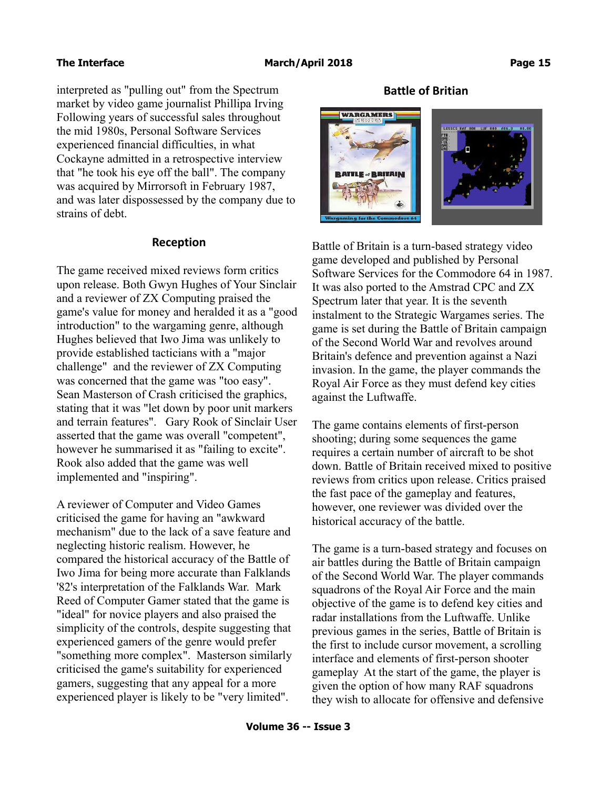interpreted as "pulling out" from the Spectrum market by video game journalist Phillipa Irving Following years of successful sales throughout the mid 1980s, Personal Software Services experienced financial difficulties, in what Cockayne admitted in a retrospective interview that "he took his eye off the ball". The company was acquired by Mirrorsoft in February 1987, and was later dispossessed by the company due to strains of debt.

### **Reception**

The game received mixed reviews form critics upon release. Both Gwyn Hughes of Your Sinclair and a reviewer of ZX Computing praised the game's value for money and heralded it as a "good introduction" to the wargaming genre, although Hughes believed that Iwo Jima was unlikely to provide established tacticians with a "major challenge" and the reviewer of ZX Computing was concerned that the game was "too easy". Sean Masterson of Crash criticised the graphics, stating that it was "let down by poor unit markers and terrain features". Gary Rook of Sinclair User asserted that the game was overall "competent", however he summarised it as "failing to excite". Rook also added that the game was well implemented and "inspiring".

A reviewer of Computer and Video Games criticised the game for having an "awkward mechanism" due to the lack of a save feature and neglecting historic realism. However, he compared the historical accuracy of the Battle of Iwo Jima for being more accurate than Falklands '82's interpretation of the Falklands War. Mark Reed of Computer Gamer stated that the game is "ideal" for novice players and also praised the simplicity of the controls, despite suggesting that experienced gamers of the genre would prefer "something more complex". Masterson similarly criticised the game's suitability for experienced gamers, suggesting that any appeal for a more experienced player is likely to be "very limited".

# **Battle of Britian**



Battle of Britain is a turn-based strategy video game developed and published by Personal Software Services for the Commodore 64 in 1987. It was also ported to the Amstrad CPC and ZX Spectrum later that year. It is the seventh instalment to the Strategic Wargames series. The game is set during the Battle of Britain campaign of the Second World War and revolves around Britain's defence and prevention against a Nazi invasion. In the game, the player commands the Royal Air Force as they must defend key cities against the Luftwaffe.

The game contains elements of first-person shooting; during some sequences the game requires a certain number of aircraft to be shot down. Battle of Britain received mixed to positive reviews from critics upon release. Critics praised the fast pace of the gameplay and features, however, one reviewer was divided over the historical accuracy of the battle.

The game is a turn-based strategy and focuses on air battles during the Battle of Britain campaign of the Second World War. The player commands squadrons of the Royal Air Force and the main objective of the game is to defend key cities and radar installations from the Luftwaffe. Unlike previous games in the series, Battle of Britain is the first to include cursor movement, a scrolling interface and elements of first-person shooter gameplay At the start of the game, the player is given the option of how many RAF squadrons they wish to allocate for offensive and defensive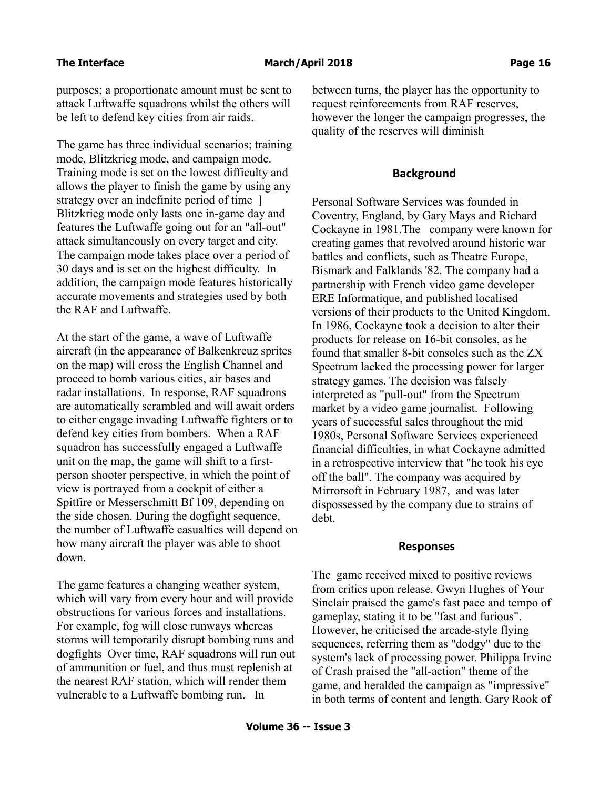purposes; a proportionate amount must be sent to attack Luftwaffe squadrons whilst the others will be left to defend key cities from air raids.

The game has three individual scenarios; training mode, Blitzkrieg mode, and campaign mode. Training mode is set on the lowest difficulty and allows the player to finish the game by using any strategy over an indefinite period of time ] Blitzkrieg mode only lasts one in-game day and features the Luftwaffe going out for an "all-out" attack simultaneously on every target and city. The campaign mode takes place over a period of 30 days and is set on the highest difficulty. In addition, the campaign mode features historically accurate movements and strategies used by both the RAF and Luftwaffe.

At the start of the game, a wave of Luftwaffe aircraft (in the appearance of Balkenkreuz sprites on the map) will cross the English Channel and proceed to bomb various cities, air bases and radar installations. In response, RAF squadrons are automatically scrambled and will await orders to either engage invading Luftwaffe fighters or to defend key cities from bombers. When a RAF squadron has successfully engaged a Luftwaffe unit on the map, the game will shift to a firstperson shooter perspective, in which the point of view is portrayed from a cockpit of either a Spitfire or Messerschmitt Bf 109, depending on the side chosen. During the dogfight sequence, the number of Luftwaffe casualties will depend on how many aircraft the player was able to shoot down.

The game features a changing weather system, which will vary from every hour and will provide obstructions for various forces and installations. For example, fog will close runways whereas storms will temporarily disrupt bombing runs and dogfights Over time, RAF squadrons will run out of ammunition or fuel, and thus must replenish at the nearest RAF station, which will render them vulnerable to a Luftwaffe bombing run. In

between turns, the player has the opportunity to request reinforcements from RAF reserves, however the longer the campaign progresses, the quality of the reserves will diminish

### **Background**

Personal Software Services was founded in Coventry, England, by Gary Mays and Richard Cockayne in 1981.The company were known for creating games that revolved around historic war battles and conflicts, such as Theatre Europe, Bismark and Falklands '82. The company had a partnership with French video game developer ERE Informatique, and published localised versions of their products to the United Kingdom. In 1986, Cockayne took a decision to alter their products for release on 16-bit consoles, as he found that smaller 8-bit consoles such as the ZX Spectrum lacked the processing power for larger strategy games. The decision was falsely interpreted as "pull-out" from the Spectrum market by a video game journalist. Following years of successful sales throughout the mid 1980s, Personal Software Services experienced financial difficulties, in what Cockayne admitted in a retrospective interview that "he took his eye off the ball". The company was acquired by Mirrorsoft in February 1987, and was later dispossessed by the company due to strains of debt.

### **Responses**

The game received mixed to positive reviews from critics upon release. Gwyn Hughes of Your Sinclair praised the game's fast pace and tempo of gameplay, stating it to be "fast and furious". However, he criticised the arcade-style flying sequences, referring them as "dodgy" due to the system's lack of processing power. Philippa Irvine of Crash praised the "all-action" theme of the game, and heralded the campaign as "impressive" in both terms of content and length. Gary Rook of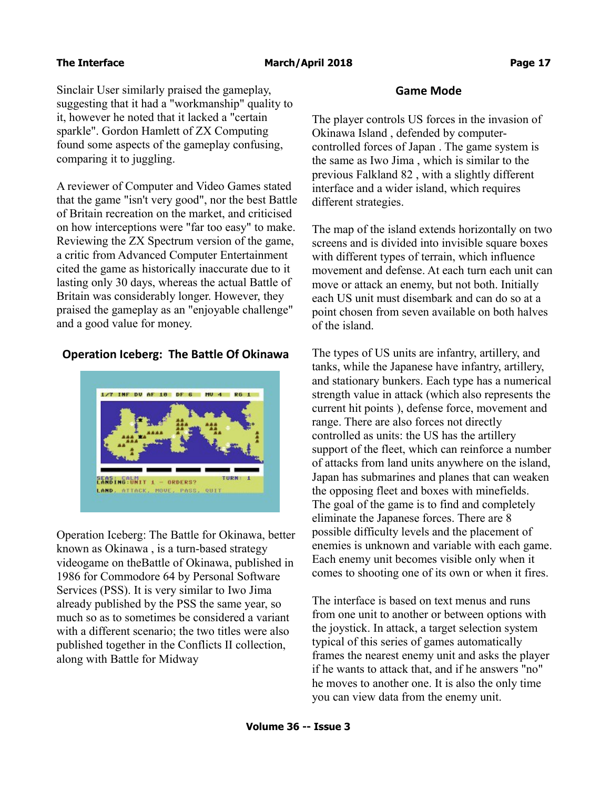Sinclair User similarly praised the gameplay, suggesting that it had a "workmanship" quality to it, however he noted that it lacked a "certain sparkle". Gordon Hamlett of ZX Computing found some aspects of the gameplay confusing, comparing it to juggling.

A reviewer of Computer and Video Games stated that the game "isn't very good", nor the best Battle of Britain recreation on the market, and criticised on how interceptions were "far too easy" to make. Reviewing the ZX Spectrum version of the game, a critic from Advanced Computer Entertainment cited the game as historically inaccurate due to it lasting only 30 days, whereas the actual Battle of Britain was considerably longer. However, they praised the gameplay as an "enjoyable challenge" and a good value for money.

# **Operation Iceberg: The Battle Of Okinawa**



Operation Iceberg: The Battle for Okinawa, better known as Okinawa , is a turn-based strategy videogame on theBattle of Okinawa, published in 1986 for Commodore 64 by Personal Software Services (PSS). It is very similar to Iwo Jima already published by the PSS the same year, so much so as to sometimes be considered a variant with a different scenario; the two titles were also published together in the Conflicts II collection, along with Battle for Midway

## **Game Mode**

The player controls US forces in the invasion of Okinawa Island , defended by computercontrolled forces of Japan . The game system is the same as Iwo Jima , which is similar to the previous Falkland 82 , with a slightly different interface and a wider island, which requires different strategies.

The map of the island extends horizontally on two screens and is divided into invisible square boxes with different types of terrain, which influence movement and defense. At each turn each unit can move or attack an enemy, but not both. Initially each US unit must disembark and can do so at a point chosen from seven available on both halves of the island.

The types of US units are infantry, artillery, and tanks, while the Japanese have infantry, artillery, and stationary bunkers. Each type has a numerical strength value in attack (which also represents the current hit points ), defense force, movement and range. There are also forces not directly controlled as units: the US has the artillery support of the fleet, which can reinforce a number of attacks from land units anywhere on the island, Japan has submarines and planes that can weaken the opposing fleet and boxes with minefields. The goal of the game is to find and completely eliminate the Japanese forces. There are 8 possible difficulty levels and the placement of enemies is unknown and variable with each game. Each enemy unit becomes visible only when it comes to shooting one of its own or when it fires.

The interface is based on text menus and runs from one unit to another or between options with the joystick. In attack, a target selection system typical of this series of games automatically frames the nearest enemy unit and asks the player if he wants to attack that, and if he answers "no" he moves to another one. It is also the only time you can view data from the enemy unit.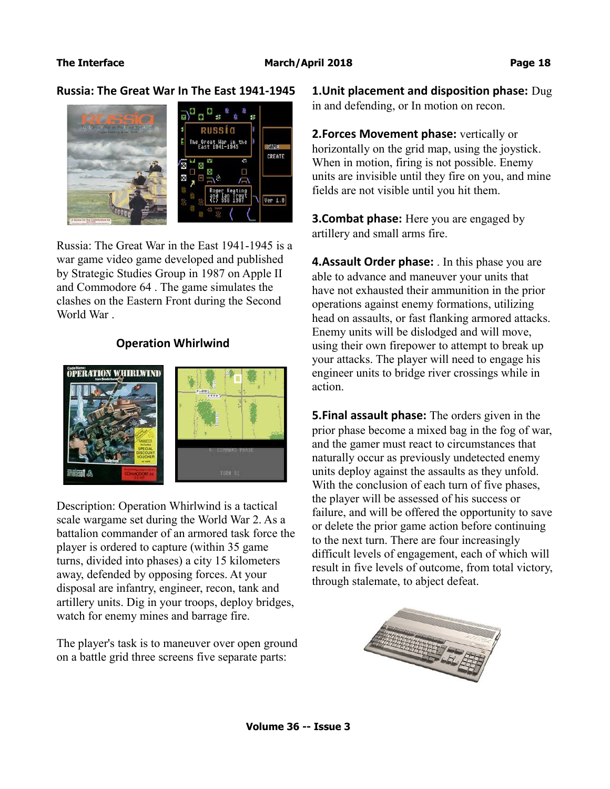**Russia: The Great War In The East 1941-1945**



Russia: The Great War in the East 1941-1945 is a war game video game developed and published by Strategic Studies Group in 1987 on Apple II and Commodore 64 . The game simulates the clashes on the Eastern Front during the Second World War .

### **Operation Whirlwind**



Description: Operation Whirlwind is a tactical scale wargame set during the World War 2. As a battalion commander of an armored task force the player is ordered to capture (within 35 game turns, divided into phases) a city 15 kilometers away, defended by opposing forces. At your disposal are infantry, engineer, recon, tank and artillery units. Dig in your troops, deploy bridges, watch for enemy mines and barrage fire.

The player's task is to maneuver over open ground on a battle grid three screens five separate parts:

**1.Unit placement and disposition phase:** Dug in and defending, or In motion on recon.

**2.Forces Movement phase:** vertically or horizontally on the grid map, using the joystick. When in motion, firing is not possible. Enemy units are invisible until they fire on you, and mine fields are not visible until you hit them.

**3.Combat phase:** Here you are engaged by artillery and small arms fire.

**4.Assault Order phase:** . In this phase you are able to advance and maneuver your units that have not exhausted their ammunition in the prior operations against enemy formations, utilizing head on assaults, or fast flanking armored attacks. Enemy units will be dislodged and will move, using their own firepower to attempt to break up your attacks. The player will need to engage his engineer units to bridge river crossings while in action.

**5.Final assault phase:** The orders given in the prior phase become a mixed bag in the fog of war, and the gamer must react to circumstances that naturally occur as previously undetected enemy units deploy against the assaults as they unfold. With the conclusion of each turn of five phases, the player will be assessed of his success or failure, and will be offered the opportunity to save or delete the prior game action before continuing to the next turn. There are four increasingly difficult levels of engagement, each of which will result in five levels of outcome, from total victory, through stalemate, to abject defeat.

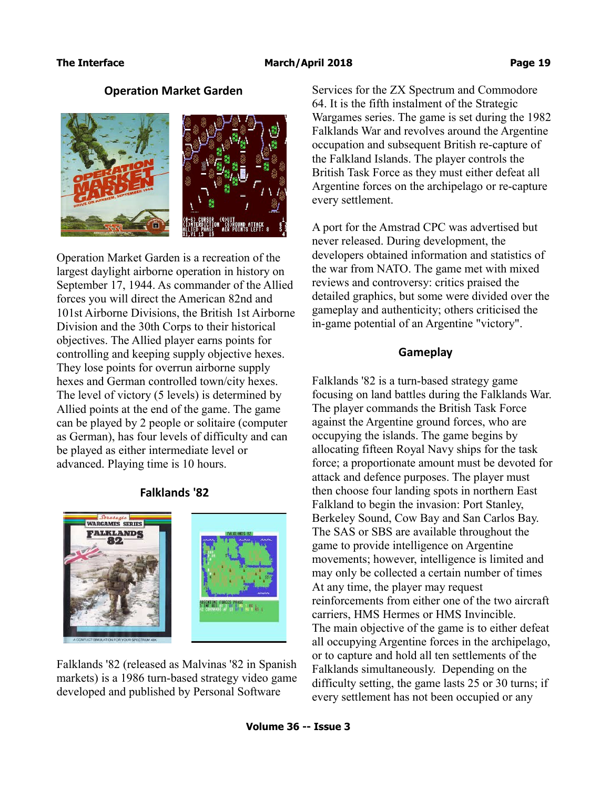### **Operation Market Garden**



Operation Market Garden is a recreation of the largest daylight airborne operation in history on September 17, 1944. As commander of the Allied forces you will direct the American 82nd and 101st Airborne Divisions, the British 1st Airborne Division and the 30th Corps to their historical objectives. The Allied player earns points for controlling and keeping supply objective hexes. They lose points for overrun airborne supply hexes and German controlled town/city hexes. The level of victory (5 levels) is determined by Allied points at the end of the game. The game can be played by 2 people or solitaire (computer as German), has four levels of difficulty and can be played as either intermediate level or advanced. Playing time is 10 hours.

### **Falklands '82**



Falklands '82 (released as Malvinas '82 in Spanish markets) is a 1986 turn-based strategy video game developed and published by Personal Software

Services for the ZX Spectrum and Commodore 64. It is the fifth instalment of the Strategic Wargames series. The game is set during the 1982 Falklands War and revolves around the Argentine occupation and subsequent British re-capture of the Falkland Islands. The player controls the British Task Force as they must either defeat all Argentine forces on the archipelago or re-capture every settlement.

A port for the Amstrad CPC was advertised but never released. During development, the developers obtained information and statistics of the war from NATO. The game met with mixed reviews and controversy: critics praised the detailed graphics, but some were divided over the gameplay and authenticity; others criticised the in-game potential of an Argentine "victory".

### **Gameplay**

Falklands '82 is a turn-based strategy game focusing on land battles during the Falklands War. The player commands the British Task Force against the Argentine ground forces, who are occupying the islands. The game begins by allocating fifteen Royal Navy ships for the task force; a proportionate amount must be devoted for attack and defence purposes. The player must then choose four landing spots in northern East Falkland to begin the invasion: Port Stanley, Berkeley Sound, Cow Bay and San Carlos Bay. The SAS or SBS are available throughout the game to provide intelligence on Argentine movements; however, intelligence is limited and may only be collected a certain number of times At any time, the player may request reinforcements from either one of the two aircraft carriers, HMS Hermes or HMS Invincible. The main objective of the game is to either defeat all occupying Argentine forces in the archipelago, or to capture and hold all ten settlements of the Falklands simultaneously. Depending on the difficulty setting, the game lasts 25 or 30 turns; if every settlement has not been occupied or any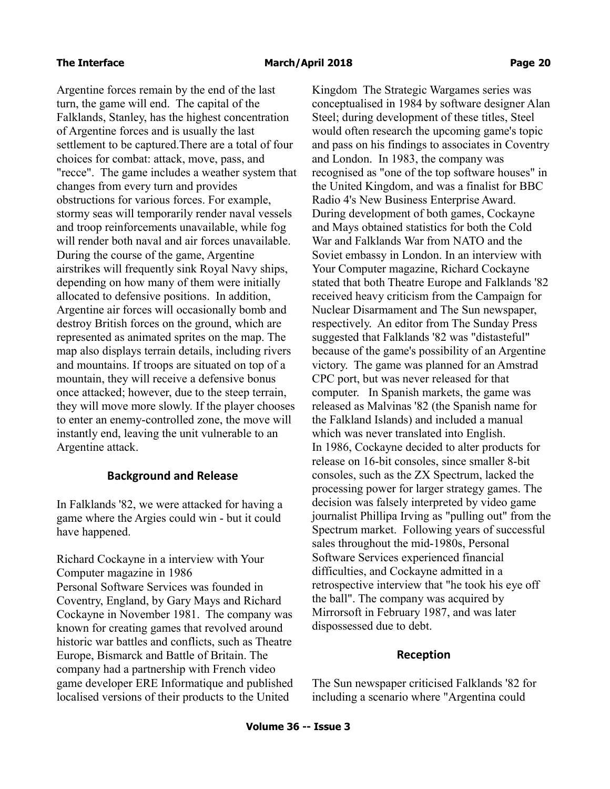Argentine forces remain by the end of the last turn, the game will end. The capital of the Falklands, Stanley, has the highest concentration of Argentine forces and is usually the last settlement to be captured.There are a total of four choices for combat: attack, move, pass, and "recce". The game includes a weather system that changes from every turn and provides obstructions for various forces. For example, stormy seas will temporarily render naval vessels and troop reinforcements unavailable, while fog will render both naval and air forces unavailable. During the course of the game, Argentine airstrikes will frequently sink Royal Navy ships, depending on how many of them were initially allocated to defensive positions. In addition, Argentine air forces will occasionally bomb and destroy British forces on the ground, which are represented as animated sprites on the map. The map also displays terrain details, including rivers and mountains. If troops are situated on top of a mountain, they will receive a defensive bonus once attacked; however, due to the steep terrain, they will move more slowly. If the player chooses to enter an enemy-controlled zone, the move will instantly end, leaving the unit vulnerable to an Argentine attack.

### **Background and Release**

In Falklands '82, we were attacked for having a game where the Argies could win - but it could have happened.

Richard Cockayne in a interview with Your Computer magazine in 1986 Personal Software Services was founded in Coventry, England, by Gary Mays and Richard Cockayne in November 1981. The company was known for creating games that revolved around historic war battles and conflicts, such as Theatre Europe, Bismarck and Battle of Britain. The company had a partnership with French video game developer ERE Informatique and published localised versions of their products to the United

Kingdom The Strategic Wargames series was conceptualised in 1984 by software designer Alan Steel; during development of these titles, Steel would often research the upcoming game's topic and pass on his findings to associates in Coventry and London. In 1983, the company was recognised as "one of the top software houses" in the United Kingdom, and was a finalist for BBC Radio 4's New Business Enterprise Award. During development of both games, Cockayne and Mays obtained statistics for both the Cold War and Falklands War from NATO and the Soviet embassy in London. In an interview with Your Computer magazine, Richard Cockayne stated that both Theatre Europe and Falklands '82 received heavy criticism from the Campaign for Nuclear Disarmament and The Sun newspaper, respectively. An editor from The Sunday Press suggested that Falklands '82 was "distasteful" because of the game's possibility of an Argentine victory. The game was planned for an Amstrad CPC port, but was never released for that computer. In Spanish markets, the game was released as Malvinas '82 (the Spanish name for the Falkland Islands) and included a manual which was never translated into English. In 1986, Cockayne decided to alter products for release on 16-bit consoles, since smaller 8-bit consoles, such as the ZX Spectrum, lacked the processing power for larger strategy games. The decision was falsely interpreted by video game journalist Phillipa Irving as "pulling out" from the Spectrum market. Following years of successful sales throughout the mid-1980s, Personal Software Services experienced financial difficulties, and Cockayne admitted in a retrospective interview that "he took his eye off the ball". The company was acquired by Mirrorsoft in February 1987, and was later dispossessed due to debt.

### **Reception**

The Sun newspaper criticised Falklands '82 for including a scenario where "Argentina could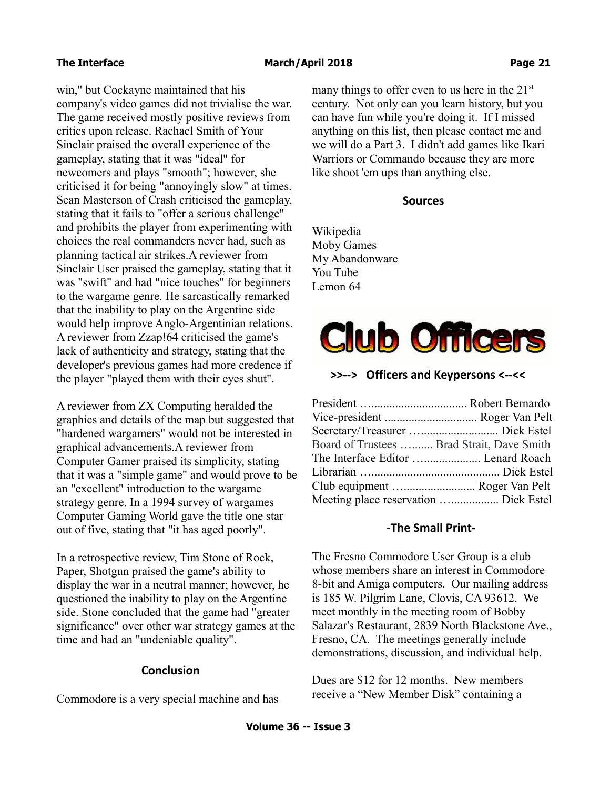win," but Cockayne maintained that his company's video games did not trivialise the war. The game received mostly positive reviews from critics upon release. Rachael Smith of Your Sinclair praised the overall experience of the gameplay, stating that it was "ideal" for newcomers and plays "smooth"; however, she criticised it for being "annoyingly slow" at times. Sean Masterson of Crash criticised the gameplay, stating that it fails to "offer a serious challenge" and prohibits the player from experimenting with choices the real commanders never had, such as planning tactical air strikes.A reviewer from Sinclair User praised the gameplay, stating that it was "swift" and had "nice touches" for beginners to the wargame genre. He sarcastically remarked that the inability to play on the Argentine side would help improve Anglo-Argentinian relations. A reviewer from Zzap!64 criticised the game's lack of authenticity and strategy, stating that the developer's previous games had more credence if the player "played them with their eyes shut".

A reviewer from ZX Computing heralded the graphics and details of the map but suggested that "hardened wargamers" would not be interested in graphical advancements.A reviewer from Computer Gamer praised its simplicity, stating that it was a "simple game" and would prove to be an "excellent" introduction to the wargame strategy genre. In a 1994 survey of wargames Computer Gaming World gave the title one star out of five, stating that "it has aged poorly".

In a retrospective review, Tim Stone of Rock, Paper, Shotgun praised the game's ability to display the war in a neutral manner; however, he questioned the inability to play on the Argentine side. Stone concluded that the game had "greater significance" over other war strategy games at the time and had an "undeniable quality".

# **Conclusion**

Commodore is a very special machine and has

many things to offer even to us here in the  $21<sup>st</sup>$ century. Not only can you learn history, but you can have fun while you're doing it. If I missed anything on this list, then please contact me and we will do a Part 3. I didn't add games like Ikari Warriors or Commando because they are more like shoot 'em ups than anything else.

## **Sources**

Wikipedia Moby Games My Abandonware You Tube Lemon 64



# **>>--> Officers and Keypersons <--<<**

| Board of Trustees  Brad Strait, Dave Smith |  |
|--------------------------------------------|--|
| The Interface Editor  Lenard Roach         |  |
|                                            |  |
| Club equipment  Roger Van Pelt             |  |
| Meeting place reservation  Dick Estel      |  |

### -**The Small Print-**

The Fresno Commodore User Group is a club whose members share an interest in Commodore 8-bit and Amiga computers. Our mailing address is 185 W. Pilgrim Lane, Clovis, CA 93612. We meet monthly in the meeting room of Bobby Salazar's Restaurant, 2839 North Blackstone Ave., Fresno, CA. The meetings generally include demonstrations, discussion, and individual help.

Dues are \$12 for 12 months. New members receive a "New Member Disk" containing a